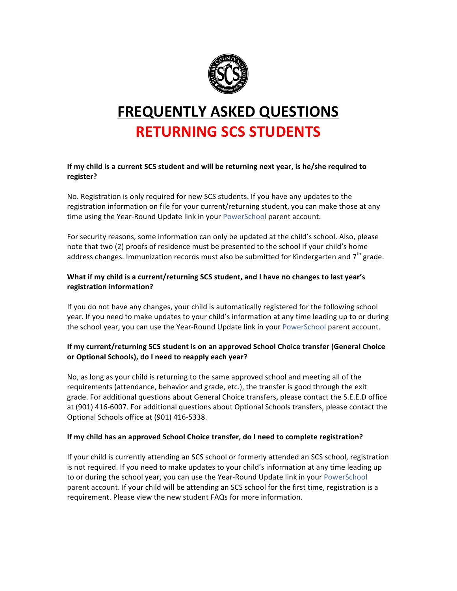

# **FREQUENTLY ASKED QUESTIONS RETURNING SCS STUDENTS**

#### **If my child is a current SCS student and will be returning next year, is he/she required to register?**

No. Registration is only required for new SCS students. If you have any updates to the registration information on file for your current/returning student, you can make those at any time using the Year-Round Update link in your [PowerSchool](http://www.scsk12.org/registration/powerschoolparents.php?PID=) parent account.

For security reasons, some information can only be updated at the child's school. Also, please note that two (2) proofs of residence must be presented to the school if your child's home address changes. Immunization records must also be submitted for Kindergarten and  $7<sup>th</sup>$  grade.

## What if my child is a current/returning SCS student, and I have no changes to last year's **registration information?**

If you do not have any changes, your child is automatically registered for the following school year. If you need to make updates to your child's information at any time leading up to or during the school year, you can use the Year-Round Update link in your [PowerSchool](http://www.scsk12.org/registration/powerschoolparents.php?PID=) parent account.

## **If my current/returning SCS student is on an approved School Choice transfer (General Choice** or Optional Schools), do I need to reapply each year?

No, as long as your child is returning to the same approved school and meeting all of the requirements (attendance, behavior and grade, etc.), the transfer is good through the exit grade. For additional questions about General Choice transfers, please contact the S.E.E.D office at (901) 416-6007. For additional questions about Optional Schools transfers, please contact the Optional Schools office at (901) 416-5338.

## **If my child has an approved School Choice transfer, do I need to complete registration?**

If your child is currently attending an SCS school or formerly attended an SCS school, registration is not required. If you need to make updates to your child's information at any time leading up to or during the school year, you can use the Year-Round Update link in your [PowerSchool](http://www.scsk12.org/registration/powerschoolparents.php?PID=) parent account. If your child will be attending an SCS school for the first time, registration is a requirement. Please view the new student FAQs for more information.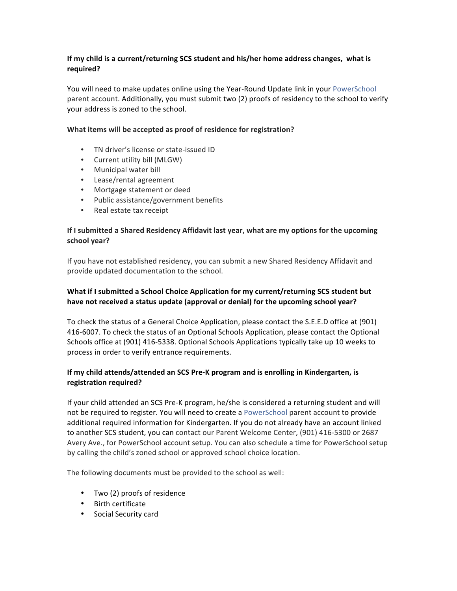#### **If my child is a current/returning SCS student and his/her home address changes, what is required?**

You will need to make updates online using the Year-Round Update link in your [PowerSchool](http://www.scsk12.org/registration/powerschoolparents.php?PID=) parent account. Additionally, you must submit two (2) proofs of residency to the school to verify your address is zoned to the school.

#### What items will be accepted as proof of residence for registration?

- TN driver's license or state-issued ID
- Current utility bill (MLGW)
- Municipal water bill
- Lease/rental agreement
- Mortgage statement or deed
- Public assistance/government benefits
- Real estate tax receipt

#### **If I submitted a Shared Residency Affidavit last year, what are my options for the upcoming school year?**

If you have not established residency, you can submit a new Shared Residency Affidavit and provide updated documentation to the school.

## **What if I submitted a School Choice Application for my current/returning SCS student but** have not received a status update (approval or denial) for the upcoming school year?

To check the status of a General Choice Application, please contact the S.E.E.D office at (901) 416-6007. To check the status of an Optional Schools Application, please contact the Optional Schools office at (901) 416-5338. Optional Schools Applications typically take up 10 weeks to process in order to verify entrance requirements.

#### **If my child attends/attended an SCS Pre-K program and is enrolling in Kindergarten, is registration required?**

If your child attended an SCS Pre-K program, he/she is considered a returning student and will not be required to register. You will need to create a PowerSchool parent account to provide additional required information for Kindergarten. If you do not already have an account linked to another SCS student, you can contact our Parent Welcome Center, (901) 416-5300 or 2687 Avery Ave., for PowerSchool account setup. You can also schedule a time for PowerSchool setup by calling the child's zoned school or approved school choice location.

The following documents must be provided to the school as well:

- Two (2) proofs of residence
- Birth certificate
- Social Security card